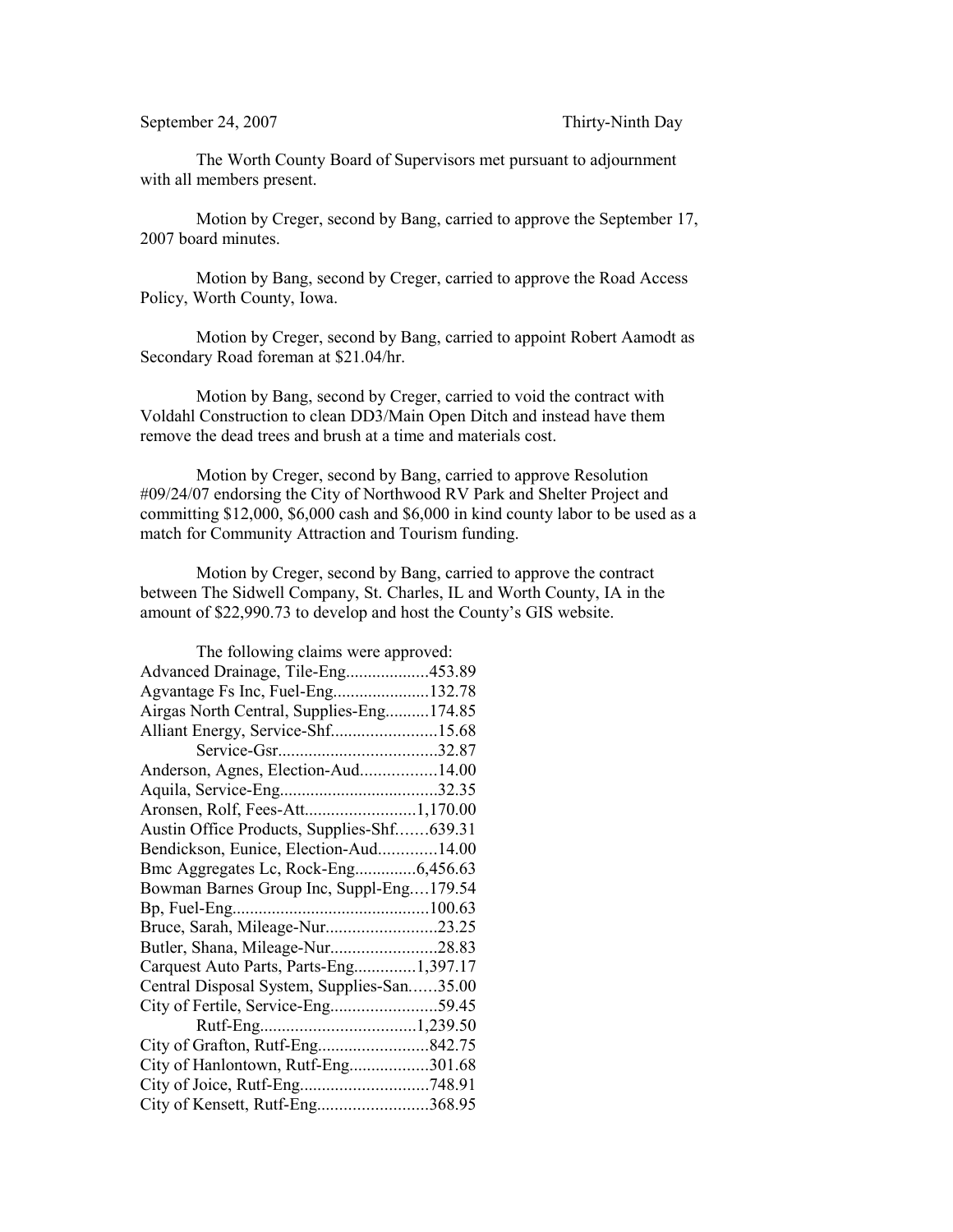The Worth County Board of Supervisors met pursuant to adjournment with all members present.

Motion by Creger, second by Bang, carried to approve the September 17, 2007 board minutes.

Motion by Bang, second by Creger, carried to approve the Road Access Policy, Worth County, Iowa.

Motion by Creger, second by Bang, carried to appoint Robert Aamodt as Secondary Road foreman at \$21.04/hr.

Motion by Bang, second by Creger, carried to void the contract with Voldahl Construction to clean DD3/Main Open Ditch and instead have them remove the dead trees and brush at a time and materials cost.

Motion by Creger, second by Bang, carried to approve Resolution #09/24/07 endorsing the City of Northwood RV Park and Shelter Project and committing \$12,000, \$6,000 cash and \$6,000 in kind county labor to be used as a match for Community Attraction and Tourism funding.

Motion by Creger, second by Bang, carried to approve the contract between The Sidwell Company, St. Charles, IL and Worth County, IA in the amount of \$22,990.73 to develop and host the County's GIS website.

| The following claims were approved:        |  |  |
|--------------------------------------------|--|--|
| Advanced Drainage, Tile-Eng453.89          |  |  |
| Agvantage Fs Inc, Fuel-Eng132.78           |  |  |
| Airgas North Central, Supplies-Eng174.85   |  |  |
| Alliant Energy, Service-Shf15.68           |  |  |
|                                            |  |  |
| Anderson, Agnes, Election-Aud14.00         |  |  |
|                                            |  |  |
| Aronsen, Rolf, Fees-Att1,170.00            |  |  |
| Austin Office Products, Supplies-Shf639.31 |  |  |
| Bendickson, Eunice, Election-Aud14.00      |  |  |
| Bmc Aggregates Lc, Rock-Eng6,456.63        |  |  |
| Bowman Barnes Group Inc, Suppl-Eng179.54   |  |  |
|                                            |  |  |
| Bruce, Sarah, Mileage-Nur23.25             |  |  |
| Butler, Shana, Mileage-Nur28.83            |  |  |
| Carquest Auto Parts, Parts-Eng1,397.17     |  |  |
| Central Disposal System, Supplies-San35.00 |  |  |
|                                            |  |  |
|                                            |  |  |
| City of Grafton, Rutf-Eng842.75            |  |  |
| City of Hanlontown, Rutf-Eng301.68         |  |  |
|                                            |  |  |
| City of Kensett, Rutf-Eng368.95            |  |  |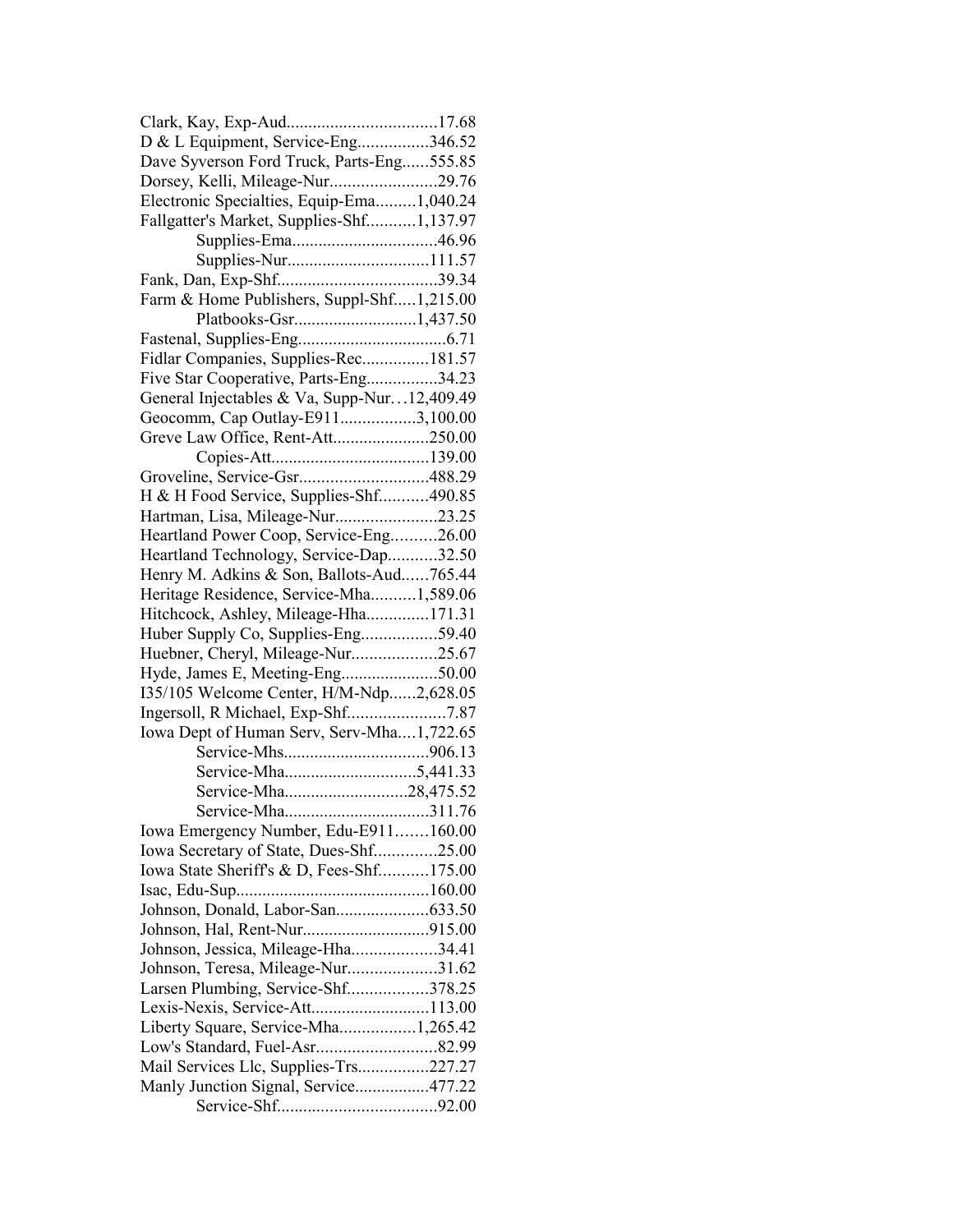| D & L Equipment, Service-Eng346.52                                   |  |
|----------------------------------------------------------------------|--|
| Dave Syverson Ford Truck, Parts-Eng555.85                            |  |
| Dorsey, Kelli, Mileage-Nur29.76                                      |  |
| Electronic Specialties, Equip-Ema1,040.24                            |  |
| Fallgatter's Market, Supplies-Shf1,137.97                            |  |
|                                                                      |  |
| Supplies-Nur111.57                                                   |  |
|                                                                      |  |
| Farm & Home Publishers, Suppl-Shf1,215.00                            |  |
|                                                                      |  |
|                                                                      |  |
| Fidlar Companies, Supplies-Rec181.57                                 |  |
| Five Star Cooperative, Parts-Eng34.23                                |  |
| General Injectables & Va, Supp-Nur12,409.49                          |  |
| Geocomm, Cap Outlay-E9113,100.00                                     |  |
| Greve Law Office, Rent-Att250.00                                     |  |
|                                                                      |  |
| Groveline, Service-Gsr488.29                                         |  |
| H & H Food Service, Supplies-Shf490.85                               |  |
| Hartman, Lisa, Mileage-Nur23.25                                      |  |
| Heartland Power Coop, Service-Eng26.00                               |  |
| Heartland Technology, Service-Dap32.50                               |  |
| Henry M. Adkins & Son, Ballots-Aud765.44                             |  |
| Heritage Residence, Service-Mha1,589.06                              |  |
| Hitchcock, Ashley, Mileage-Hha171.31                                 |  |
| Huber Supply Co, Supplies-Eng59.40                                   |  |
| Huebner, Cheryl, Mileage-Nur25.67                                    |  |
| Hyde, James E, Meeting-Eng50.00                                      |  |
| 135/105 Welcome Center, H/M-Ndp2,628.05                              |  |
|                                                                      |  |
| Iowa Dept of Human Serv, Serv-Mha1,722.65                            |  |
|                                                                      |  |
|                                                                      |  |
| Service-Mha28,475.52                                                 |  |
| Service-Mha311.76                                                    |  |
| Iowa Emergency Number, Edu-E911160.00                                |  |
| Iowa Secretary of State, Dues-Shf25.00                               |  |
| Iowa State Sheriff's & D, Fees-Shf175.00                             |  |
|                                                                      |  |
|                                                                      |  |
|                                                                      |  |
| Johnson, Jessica, Mileage-Hha34.41                                   |  |
| Johnson, Teresa, Mileage-Nur31.62                                    |  |
|                                                                      |  |
| Larsen Plumbing, Service-Shf378.25<br>Lexis-Nexis, Service-Att113.00 |  |
|                                                                      |  |
| Liberty Square, Service-Mha1,265.42                                  |  |
|                                                                      |  |
| Mail Services Llc, Supplies-Trs227.27                                |  |
| Manly Junction Signal, Service477.22                                 |  |
|                                                                      |  |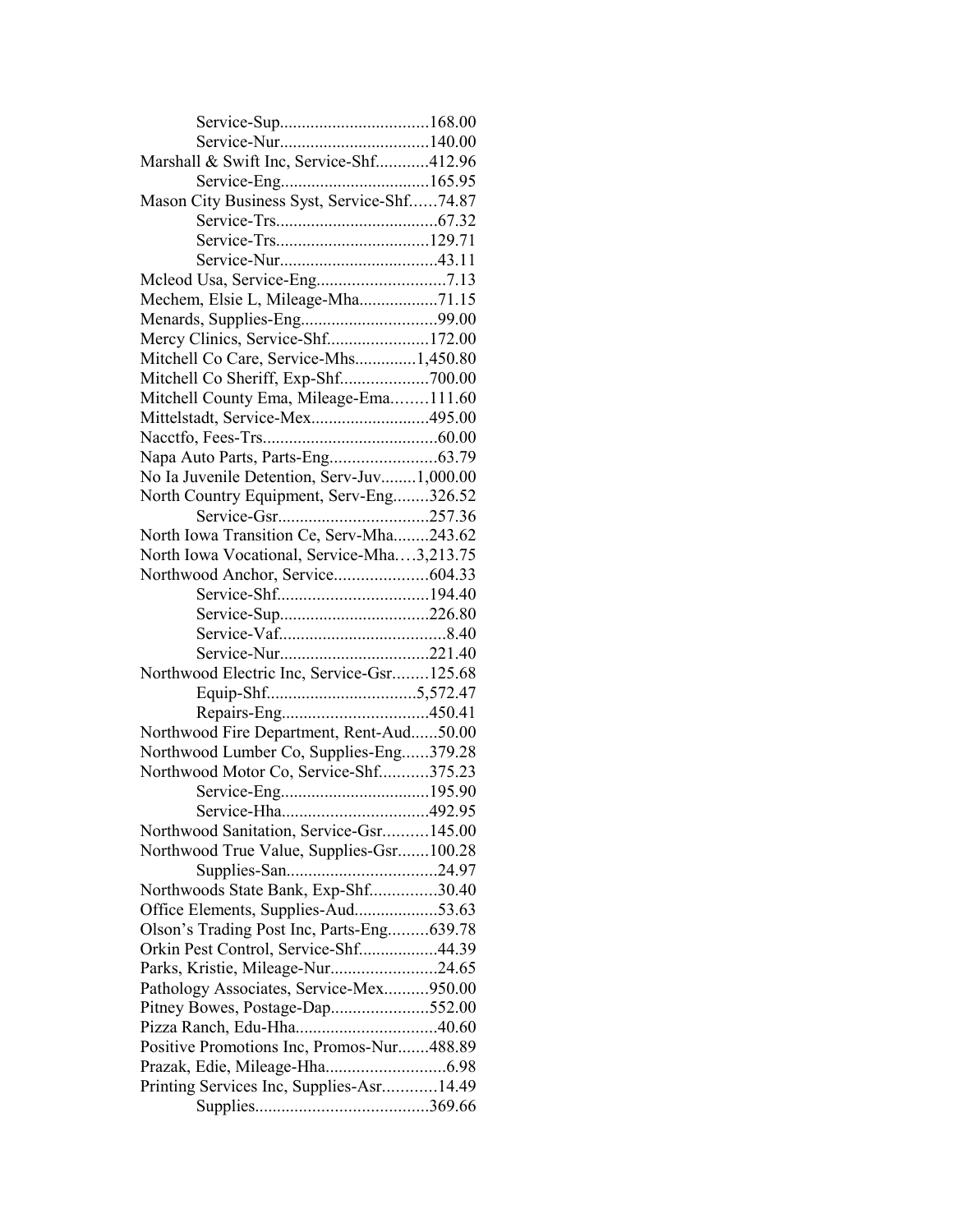| Marshall & Swift Inc, Service-Shf412.96                        |  |
|----------------------------------------------------------------|--|
|                                                                |  |
| Mason City Business Syst, Service-Shf74.87                     |  |
|                                                                |  |
|                                                                |  |
|                                                                |  |
|                                                                |  |
| Mechem, Elsie L, Mileage-Mha71.15                              |  |
|                                                                |  |
| Menards, Supplies-Eng99.00<br>Mercy Clinics, Service-Shf172.00 |  |
| Mitchell Co Care, Service-Mhs1,450.80                          |  |
| Mitchell Co Sheriff, Exp-Shf700.00                             |  |
| Mitchell County Ema, Mileage-Ema111.60                         |  |
| Mittelstadt, Service-Mex495.00                                 |  |
|                                                                |  |
|                                                                |  |
| No Ia Juvenile Detention, Serv-Juv1,000.00                     |  |
| North Country Equipment, Serv-Eng326.52                        |  |
|                                                                |  |
| North Iowa Transition Ce, Serv-Mha243.62                       |  |
| North Iowa Vocational, Service-Mha3,213.75                     |  |
|                                                                |  |
|                                                                |  |
|                                                                |  |
|                                                                |  |
|                                                                |  |
| Northwood Electric Inc, Service-Gsr125.68                      |  |
|                                                                |  |
|                                                                |  |
| Northwood Fire Department, Rent-Aud50.00                       |  |
| Northwood Lumber Co, Supplies-Eng379.28                        |  |
| Northwood Motor Co, Service-Shf375.23                          |  |
|                                                                |  |
|                                                                |  |
| Northwood Sanitation, Service-Gsr145.00                        |  |
| Northwood True Value, Supplies-Gsr100.28                       |  |
|                                                                |  |
| Northwoods State Bank, Exp-Shf30.40                            |  |
| Office Elements, Supplies-Aud53.63                             |  |
| Olson's Trading Post Inc, Parts-Eng639.78                      |  |
| Orkin Pest Control, Service-Shf44.39                           |  |
| Parks, Kristie, Mileage-Nur24.65                               |  |
| Pathology Associates, Service-Mex950.00                        |  |
| Pitney Bowes, Postage-Dap552.00                                |  |
|                                                                |  |
| Positive Promotions Inc, Promos-Nur488.89                      |  |
|                                                                |  |
| Printing Services Inc, Supplies-Asr14.49                       |  |
|                                                                |  |
|                                                                |  |